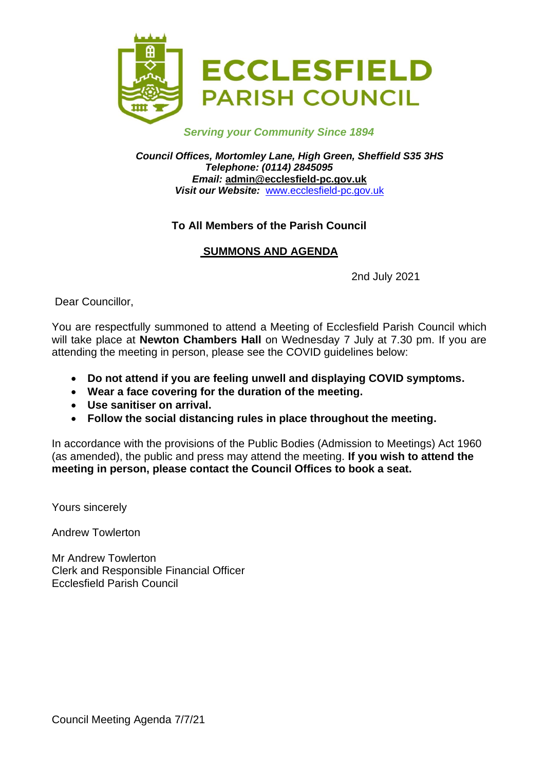

### *Serving your Community Since 1894*

*Council Offices, Mortomley Lane, High Green, Sheffield S35 3HS Telephone: (0114) 2845095 Email:* **admin@ecclesfield-pc.gov.uk** *Visit our Website:* [www.ecclesfield-pc.gov.uk](http://www.ecclesfield-pc.gov.uk/)

### **To All Members of the Parish Council**

# **SUMMONS AND AGENDA**

2nd July 2021

Dear Councillor,

You are respectfully summoned to attend a Meeting of Ecclesfield Parish Council which will take place at **Newton Chambers Hall** on Wednesday 7 July at 7.30 pm. If you are attending the meeting in person, please see the COVID guidelines below:

- **Do not attend if you are feeling unwell and displaying COVID symptoms.**
- **Wear a face covering for the duration of the meeting.**
- **Use sanitiser on arrival.**
- **Follow the social distancing rules in place throughout the meeting.**

In accordance with the provisions of the Public Bodies (Admission to Meetings) Act 1960 (as amended), the public and press may attend the meeting. **If you wish to attend the meeting in person, please contact the Council Offices to book a seat.** 

Yours sincerely

Andrew Towlerton

Mr Andrew Towlerton Clerk and Responsible Financial Officer Ecclesfield Parish Council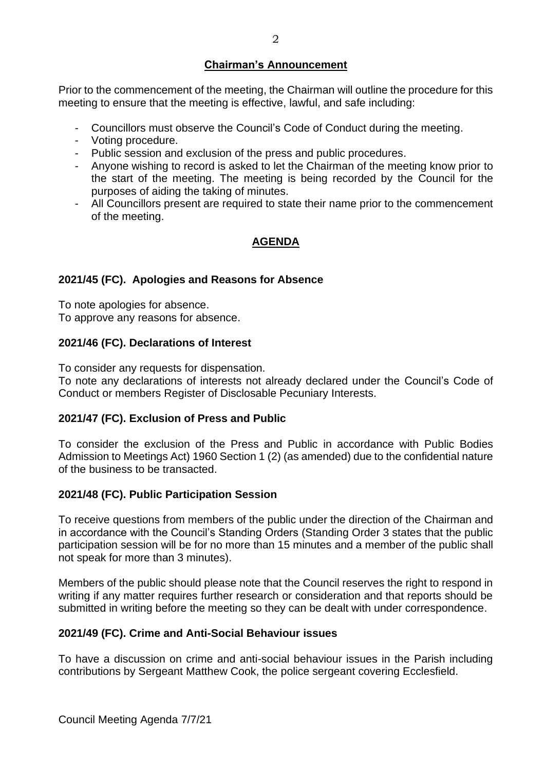### **Chairman's Announcement**

Prior to the commencement of the meeting, the Chairman will outline the procedure for this meeting to ensure that the meeting is effective, lawful, and safe including:

- Councillors must observe the Council's Code of Conduct during the meeting.
- Voting procedure.
- Public session and exclusion of the press and public procedures.
- Anyone wishing to record is asked to let the Chairman of the meeting know prior to the start of the meeting. The meeting is being recorded by the Council for the purposes of aiding the taking of minutes.
- All Councillors present are required to state their name prior to the commencement of the meeting.

# **AGENDA**

### **2021/45 (FC). Apologies and Reasons for Absence**

To note apologies for absence. To approve any reasons for absence.

### **2021/46 (FC). Declarations of Interest**

To consider any requests for dispensation.

To note any declarations of interests not already declared under the Council's Code of Conduct or members Register of Disclosable Pecuniary Interests.

### **2021/47 (FC). Exclusion of Press and Public**

To consider the exclusion of the Press and Public in accordance with Public Bodies Admission to Meetings Act) 1960 Section 1 (2) (as amended) due to the confidential nature of the business to be transacted.

### **2021/48 (FC). Public Participation Session**

To receive questions from members of the public under the direction of the Chairman and in accordance with the Council's Standing Orders (Standing Order 3 states that the public participation session will be for no more than 15 minutes and a member of the public shall not speak for more than 3 minutes).

Members of the public should please note that the Council reserves the right to respond in writing if any matter requires further research or consideration and that reports should be submitted in writing before the meeting so they can be dealt with under correspondence.

### **2021/49 (FC). Crime and Anti-Social Behaviour issues**

To have a discussion on crime and anti-social behaviour issues in the Parish including contributions by Sergeant Matthew Cook, the police sergeant covering Ecclesfield.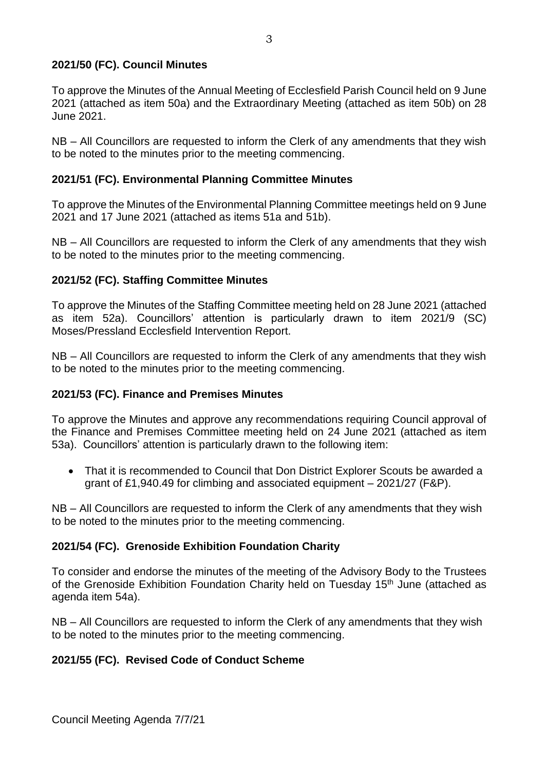### **2021/50 (FC). Council Minutes**

To approve the Minutes of the Annual Meeting of Ecclesfield Parish Council held on 9 June 2021 (attached as item 50a) and the Extraordinary Meeting (attached as item 50b) on 28 June 2021.

NB – All Councillors are requested to inform the Clerk of any amendments that they wish to be noted to the minutes prior to the meeting commencing.

### **2021/51 (FC). Environmental Planning Committee Minutes**

To approve the Minutes of the Environmental Planning Committee meetings held on 9 June 2021 and 17 June 2021 (attached as items 51a and 51b).

NB – All Councillors are requested to inform the Clerk of any amendments that they wish to be noted to the minutes prior to the meeting commencing.

### **2021/52 (FC). Staffing Committee Minutes**

To approve the Minutes of the Staffing Committee meeting held on 28 June 2021 (attached as item 52a). Councillors' attention is particularly drawn to item 2021/9 (SC) Moses/Pressland Ecclesfield Intervention Report.

NB – All Councillors are requested to inform the Clerk of any amendments that they wish to be noted to the minutes prior to the meeting commencing.

### **2021/53 (FC). Finance and Premises Minutes**

To approve the Minutes and approve any recommendations requiring Council approval of the Finance and Premises Committee meeting held on 24 June 2021 (attached as item 53a).Councillors' attention is particularly drawn to the following item:

• That it is recommended to Council that Don District Explorer Scouts be awarded a grant of £1,940.49 for climbing and associated equipment – 2021/27 (F&P).

NB – All Councillors are requested to inform the Clerk of any amendments that they wish to be noted to the minutes prior to the meeting commencing.

### **2021/54 (FC). Grenoside Exhibition Foundation Charity**

To consider and endorse the minutes of the meeting of the Advisory Body to the Trustees of the Grenoside Exhibition Foundation Charity held on Tuesday 15<sup>th</sup> June (attached as agenda item 54a).

NB – All Councillors are requested to inform the Clerk of any amendments that they wish to be noted to the minutes prior to the meeting commencing.

### **2021/55 (FC). Revised Code of Conduct Scheme**